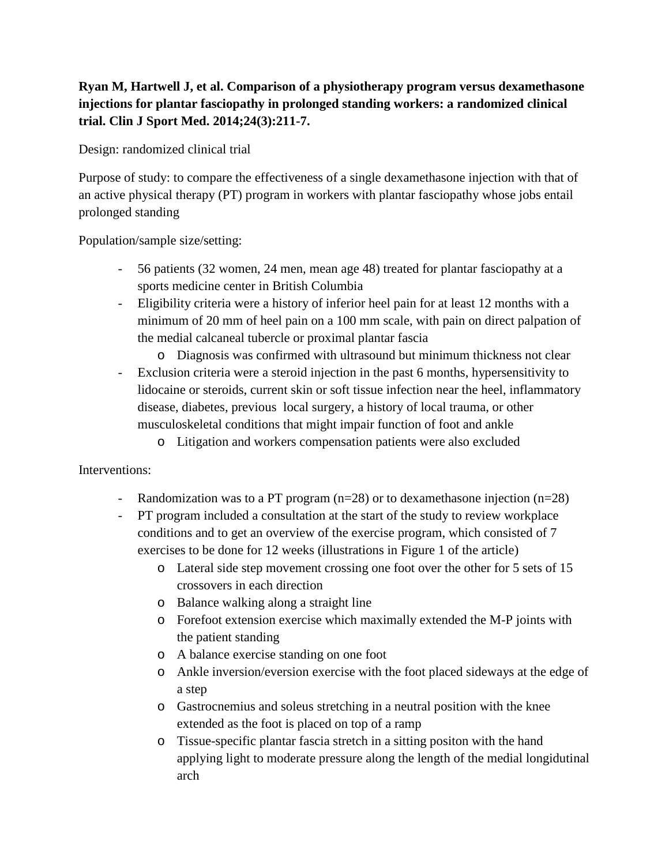## **Ryan M, Hartwell J, et al. Comparison of a physiotherapy program versus dexamethasone injections for plantar fasciopathy in prolonged standing workers: a randomized clinical trial. Clin J Sport Med. 2014;24(3):211-7.**

Design: randomized clinical trial

Purpose of study: to compare the effectiveness of a single dexamethasone injection with that of an active physical therapy (PT) program in workers with plantar fasciopathy whose jobs entail prolonged standing

Population/sample size/setting:

- 56 patients (32 women, 24 men, mean age 48) treated for plantar fasciopathy at a sports medicine center in British Columbia
- Eligibility criteria were a history of inferior heel pain for at least 12 months with a minimum of 20 mm of heel pain on a 100 mm scale, with pain on direct palpation of the medial calcaneal tubercle or proximal plantar fascia
	- o Diagnosis was confirmed with ultrasound but minimum thickness not clear
- Exclusion criteria were a steroid injection in the past 6 months, hypersensitivity to lidocaine or steroids, current skin or soft tissue infection near the heel, inflammatory disease, diabetes, previous local surgery, a history of local trauma, or other musculoskeletal conditions that might impair function of foot and ankle
	- o Litigation and workers compensation patients were also excluded

## Interventions:

- Randomization was to a PT program (n=28) or to dexamethasone injection (n=28)
- PT program included a consultation at the start of the study to review workplace conditions and to get an overview of the exercise program, which consisted of 7 exercises to be done for 12 weeks (illustrations in Figure 1 of the article)
	- o Lateral side step movement crossing one foot over the other for 5 sets of 15 crossovers in each direction
	- o Balance walking along a straight line
	- o Forefoot extension exercise which maximally extended the M-P joints with the patient standing
	- o A balance exercise standing on one foot
	- o Ankle inversion/eversion exercise with the foot placed sideways at the edge of a step
	- o Gastrocnemius and soleus stretching in a neutral position with the knee extended as the foot is placed on top of a ramp
	- o Tissue-specific plantar fascia stretch in a sitting positon with the hand applying light to moderate pressure along the length of the medial longidutinal arch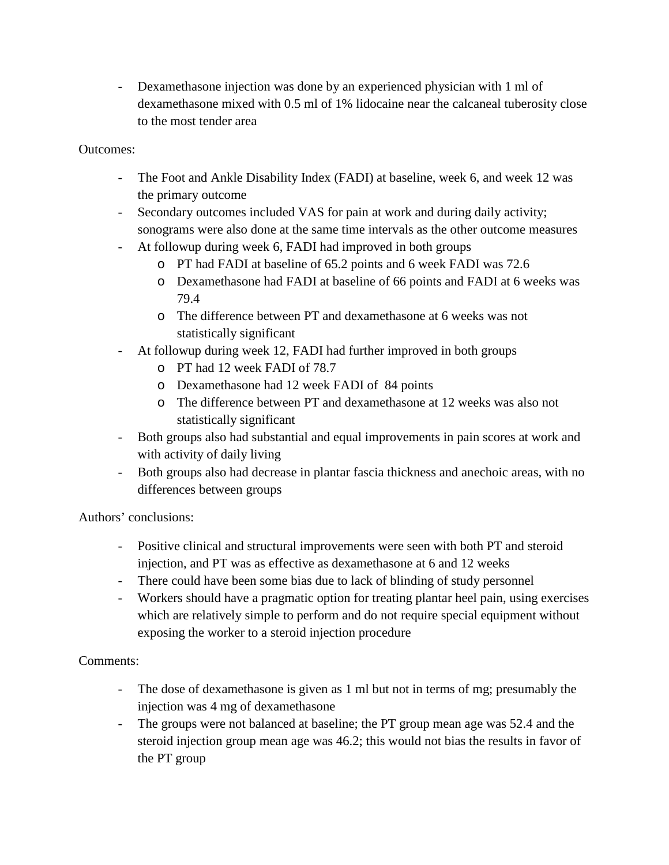- Dexamethasone injection was done by an experienced physician with 1 ml of dexamethasone mixed with 0.5 ml of 1% lidocaine near the calcaneal tuberosity close to the most tender area

## Outcomes:

- The Foot and Ankle Disability Index (FADI) at baseline, week 6, and week 12 was the primary outcome
- Secondary outcomes included VAS for pain at work and during daily activity; sonograms were also done at the same time intervals as the other outcome measures
- At followup during week 6, FADI had improved in both groups
	- o PT had FADI at baseline of 65.2 points and 6 week FADI was 72.6
	- o Dexamethasone had FADI at baseline of 66 points and FADI at 6 weeks was 79.4
	- o The difference between PT and dexamethasone at 6 weeks was not statistically significant
- At followup during week 12, FADI had further improved in both groups
	- o PT had 12 week FADI of 78.7
	- o Dexamethasone had 12 week FADI of 84 points
	- o The difference between PT and dexamethasone at 12 weeks was also not statistically significant
- Both groups also had substantial and equal improvements in pain scores at work and with activity of daily living
- Both groups also had decrease in plantar fascia thickness and anechoic areas, with no differences between groups

Authors' conclusions:

- Positive clinical and structural improvements were seen with both PT and steroid injection, and PT was as effective as dexamethasone at 6 and 12 weeks
- There could have been some bias due to lack of blinding of study personnel
- Workers should have a pragmatic option for treating plantar heel pain, using exercises which are relatively simple to perform and do not require special equipment without exposing the worker to a steroid injection procedure

## Comments:

- The dose of dexamethasone is given as 1 ml but not in terms of mg; presumably the injection was 4 mg of dexamethasone
- The groups were not balanced at baseline; the PT group mean age was 52.4 and the steroid injection group mean age was 46.2; this would not bias the results in favor of the PT group